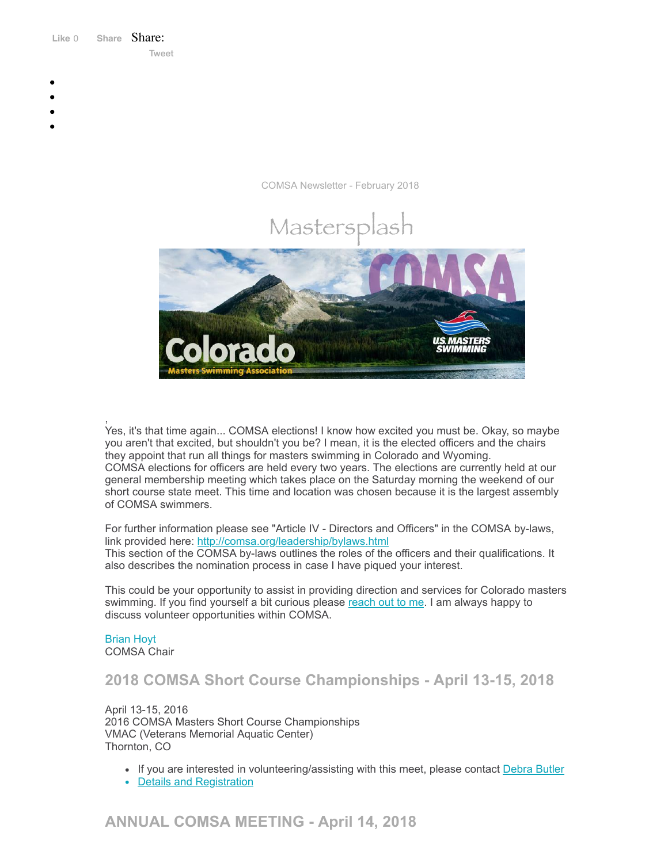Like 0 **[Share](https://www.facebook.com/sharer/sharer.php?u=https%3A%2F%2Fmyemail.constantcontact.com%2FCOMSA-Newsletter--February-2018.html%3Fsoid%3D1108936408185%26aid%3DagFmFUA0vIA&display=popup&ref=plugin&src=like&kid_directed_site=0&app_id=120295828008556)** Share: [Tweet](https://twitter.com/intent/tweet?original_referer=https%3A%2F%2Fmyemail.constantcontact.com%2FCOMSA-Newsletter--February-2018.html%3Fsoid%3D1108936408185%26aid%3DagFmFUA0vIA&ref_src=twsrc%5Etfw&text=COMSA%20Newsletter%20-February%202018&tw_p=tweetbutton&url=https%3A%2F%2Fmyemail.constantcontact.com%2FCOMSA-Newsletter--February-2018.html%3Fsoid%3D1108936408185%26aid%3DagFmFUA0vIA)

- 
- 
- 
- 
- 

COMSA Newsletter - February 2018



, Yes, it's that time again... COMSA elections! I know how excited you must be. Okay, so maybe you aren't that excited, but shouldn't you be? I mean, it is the elected officers and the chairs they appoint that run all things for masters swimming in Colorado and Wyoming. COMSA elections for officers are held every two years. The elections are currently held at our general membership meeting which takes place on the Saturday morning the weekend of our short course state meet. This time and location was chosen because it is the largest assembly of COMSA swimmers.

For further information please see "Article IV - Directors and Officers" in the COMSA by-laws, link provided here: <http://comsa.org/leadership/bylaws.html> This section of the COMSA by-laws outlines the roles of the officers and their qualifications. It also describes the nomination process in case I have piqued your interest.

This could be your opportunity to assist in providing direction and services for Colorado masters swimming. If you find yourself a bit curious please [reach](mailto:bkhoyt@gmail.com) out to me. I am always happy to discuss volunteer opportunities within COMSA.

## [Brian](mailto:bkhoyt@gmail.com) Hoyt

COMSA Chair

**2018 COMSA Short Course Championships - April 13-15, 2018**

April 13-15, 2016 2016 COMSA Masters Short Course Championships VMAC (Veterans Memorial Aquatic Center) Thornton, CO

- If you are interested in volunteering/assisting with this meet, please contact [Debra](mailto:debbutler@comcast.net?subject=Volunteer%20for%20Meet) Butler
- Details and [Registration](https://www.clubassistant.com/club/meet_information.cfm?c=1279&smid=9661)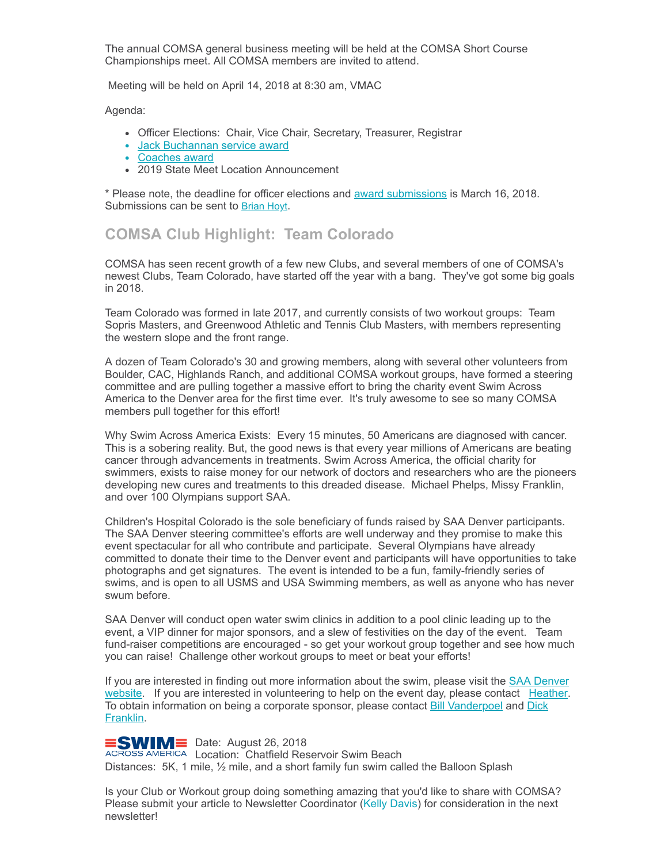The annual COMSA general business meeting will be held at the COMSA Short Course Championships meet. All COMSA members are invited to attend.

Meeting will be held on April 14, 2018 at 8:30 am, VMAC

Agenda:

- Officer Elections: Chair, Vice Chair, Secretary, Treasurer, Registrar
- Jack [Buchannan](http://comsa.org/records/ServiceAward.html) service award
- [Coaches](http://comsa.org/records/CoachAward.html) award
- 2019 State Meet Location Announcement

\* Please note, the deadline for officer elections and award [submissions](http://comsa.org/forms/Award%20Nomination%20Form_2018.doc) is March 16, 2018. Submissions can be sent to **[Brian Hoyt](mailto:bkhoyt@gmail.com)**.

#### **COMSA Club Highlight: Team Colorado**

COMSA has seen recent growth of a few new Clubs, and several members of one of COMSA's newest Clubs, Team Colorado, have started off the year with a bang. They've got some big goals in 2018.

Team Colorado was formed in late 2017, and currently consists of two workout groups: Team Sopris Masters, and Greenwood Athletic and Tennis Club Masters, with members representing the western slope and the front range.

A dozen of Team Colorado's 30 and growing members, along with several other volunteers from Boulder, CAC, Highlands Ranch, and additional COMSA workout groups, have formed a steering committee and are pulling together a massive effort to bring the charity event Swim Across America to the Denver area for the first time ever. It's truly awesome to see so many COMSA members pull together for this effort!

Why Swim Across America Exists: Every 15 minutes, 50 Americans are diagnosed with cancer. This is a sobering reality. But, the good news is that every year millions of Americans are beating cancer through advancements in treatments. Swim Across America, the official charity for swimmers, exists to raise money for our network of doctors and researchers who are the pioneers developing new cures and treatments to this dreaded disease. Michael Phelps, Missy Franklin, and over 100 Olympians support SAA.

Children's Hospital Colorado is the sole beneficiary of funds raised by SAA Denver participants. The SAA Denver steering committee's efforts are well underway and they promise to make this event spectacular for all who contribute and participate. Several Olympians have already committed to donate their time to the Denver event and participants will have opportunities to take photographs and get signatures. The event is intended to be a fun, family-friendly series of swims, and is open to all USMS and USA Swimming members, as well as anyone who has never swum before.

SAA Denver will conduct open water swim clinics in addition to a pool clinic leading up to the event, a VIP dinner for major sponsors, and a slew of festivities on the day of the event. Team fund-raiser competitions are encouraged - so get your workout group together and see how much you can raise! Challenge other workout groups to meet or beat your efforts!

If you are interested in finding out more information about the swim, please visit the SAA Denver website. If you are interested in [volunteering](http://www.swimacrossamerica.org/site/TR?fr_id=4751&pg=entry) to help on the event day, please contact [Heather](mailto:heather.hagadorn@icloud.com). To obtain information on being a corporate sponsor, please contact Bill [Vanderpoe](mailto:wavanderpoel@msn.com)[l](mailto:dfrank4252@gmail.com) and Dick Franklin.

 $\equiv$ SWIM $\equiv$  Date: August 26, 2018

ACROSS AMERICA Location: Chatfield Reservoir Swim Beach Distances: 5K, 1 mile, ½ mile, and a short family fun swim called the Balloon Splash

Is your Club or Workout group doing something amazing that you'd like to share with COMSA? Please submit your article to Newsletter Coordinator (Kelly [Davis\)](mailto:comsamastersplash@gmail.com) for consideration in the next newsletter!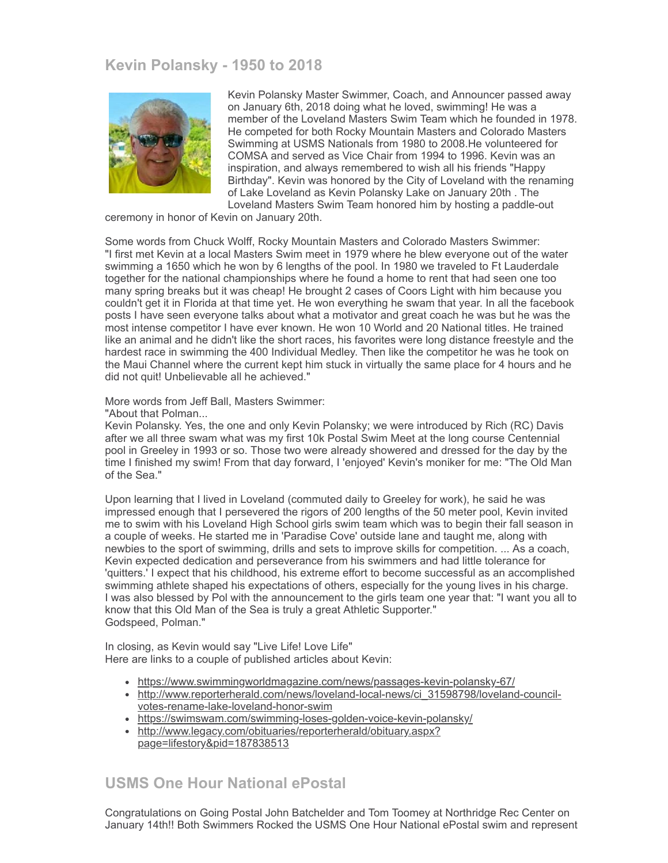### **Kevin Polansky - 1950 to 2018**



Kevin Polansky Master Swimmer, Coach, and Announcer passed away on January 6th, 2018 doing what he loved, swimming! He was a member of the Loveland Masters Swim Team which he founded in 1978. He competed for both Rocky Mountain Masters and Colorado Masters Swimming at USMS Nationals from 1980 to 2008.He volunteered for COMSA and served as Vice Chair from 1994 to 1996. Kevin was an inspiration, and always remembered to wish all his friends "Happy Birthday". Kevin was honored by the City of Loveland with the renaming of Lake Loveland as Kevin Polansky Lake on January 20th . The Loveland Masters Swim Team honored him by hosting a paddle-out

ceremony in honor of Kevin on January 20th.

Some words from Chuck Wolff, Rocky Mountain Masters and Colorado Masters Swimmer: "I first met Kevin at a local Masters Swim meet in 1979 where he blew everyone out of the water swimming a 1650 which he won by 6 lengths of the pool. In 1980 we traveled to Ft Lauderdale together for the national championships where he found a home to rent that had seen one too many spring breaks but it was cheap! He brought 2 cases of Coors Light with him because you couldn't get it in Florida at that time yet. He won everything he swam that year. In all the facebook posts I have seen everyone talks about what a motivator and great coach he was but he was the most intense competitor I have ever known. He won 10 World and 20 National titles. He trained like an animal and he didn't like the short races, his favorites were long distance freestyle and the hardest race in swimming the 400 Individual Medley. Then like the competitor he was he took on the Maui Channel where the current kept him stuck in virtually the same place for 4 hours and he did not quit! Unbelievable all he achieved."

More words from Jeff Ball, Masters Swimmer:

"About that Polman...

Kevin Polansky. Yes, the one and only Kevin Polansky; we were introduced by Rich (RC) Davis after we all three swam what was my first 10k Postal Swim Meet at the long course Centennial pool in Greeley in 1993 or so. Those two were already showered and dressed for the day by the time I finished my swim! From that day forward, I 'enjoyed' Kevin's moniker for me: "The Old Man of the Sea."

Upon learning that I lived in Loveland (commuted daily to Greeley for work), he said he was impressed enough that I persevered the rigors of 200 lengths of the 50 meter pool, Kevin invited me to swim with his Loveland High School girls swim team which was to begin their fall season in a couple of weeks. He started me in 'Paradise Cove' outside lane and taught me, along with newbies to the sport of swimming, drills and sets to improve skills for competition. ... As a coach, Kevin expected dedication and perseverance from his swimmers and had little tolerance for 'quitters.' I expect that his childhood, his extreme effort to become successful as an accomplished swimming athlete shaped his expectations of others, especially for the young lives in his charge. I was also blessed by Pol with the announcement to the girls team one year that: "I want you all to know that this Old Man of the Sea is truly a great Athletic Supporter." Godspeed, Polman."

In closing, as Kevin would say "Live Life! Love Life" Here are links to a couple of published articles about Kevin:

- <https://www.swimmingworldmagazine.com/news/passages-kevin-polansky-67/>
- [http://www.reporterherald.com/news/loveland-local-news/ci\\_31598798/loveland-council](http://www.reporterherald.com/news/loveland-local-news/ci_31598798/loveland-council-votes-rename-lake-loveland-honor-swim)votes-rename-lake-loveland-honor-swim
- <https://swimswam.com/swimming-loses-golden-voice-kevin-polansky/>
- [http://www.legacy.com/obituaries/reporterherald/obituary.aspx?](http://www.legacy.com/obituaries/reporterherald/obituary.aspx?page=lifestory&pid=187838513) page=lifestory&pid=187838513

#### **USMS One Hour National ePostal**

Congratulations on Going Postal John Batchelder and Tom Toomey at Northridge Rec Center on January 14th!! Both Swimmers Rocked the USMS One Hour National ePostal swim and represent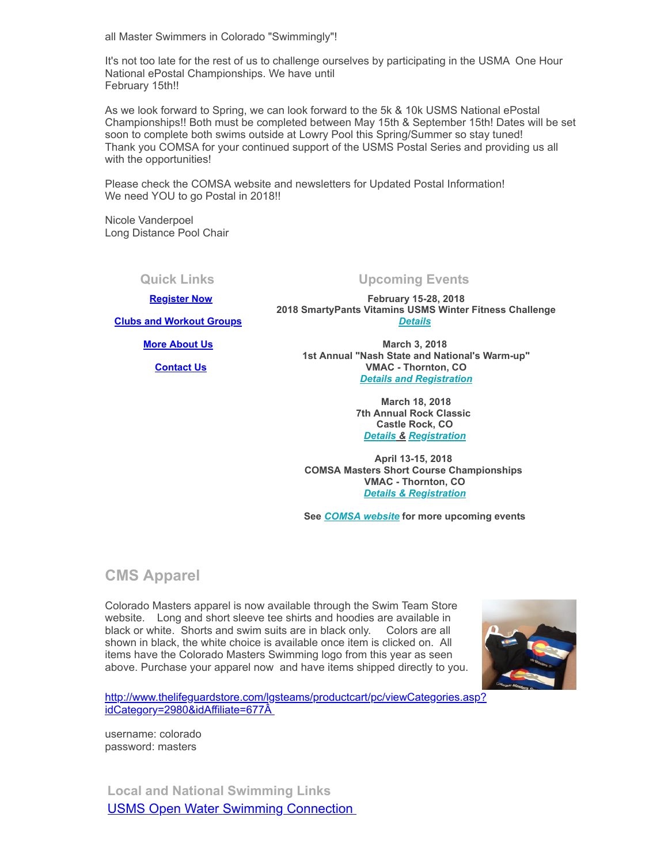all Master Swimmers in Colorado "Swimmingly"!

It's not too late for the rest of us to challenge ourselves by participating in the USMA One Hour National ePostal Championships. We have until February 15th!!

As we look forward to Spring, we can look forward to the 5k & 10k USMS National ePostal Championships!! Both must be completed between May 15th & September 15th! Dates will be set soon to complete both swims outside at Lowry Pool this Spring/Summer so stay tuned! Thank you COMSA for your continued support of the USMS Postal Series and providing us all with the opportunities!

Please check the COMSA website and newsletters for Updated Postal Information! We need YOU to go Postal in 2018!!

Nicole Vanderpoel Long Distance Pool Chair

# **[Register Now](http://www.usms.org/content/join_or_renew)**

**Quick Links Upcoming Events**

**February 15-28, 2018 2018 SmartyPants Vitamins USMS Winter Fitness Challenge** *[Details](http://www.usms.org/content/fitness_series)*

**[More About Us](http://comsa.org/)**

**[Clubs and Workout Groups](http://comsa.org/clubs/index.html)**

 **[Contact Us](mailto:swimkdavis@gmail.com)**

**March 3, 2018 1st Annual "Nash State and National's Warm-up" VMAC - Thornton, CO** *[Details and Registration](https://www.clubassistant.com/club/meet_information.cfm?c=2374&smid=9983)*

> **March 18, 2018 7th Annual Rock Classic Castle Rock, CO**  *[Details](http://comsa.org/events/2018/7th%20ANNUAL%20ROCK%20CLASSIC%20MASTERS%20SWIM%20MEET.docx) & [Registration](https://www.clubassistant.com/club/meet_information.cfm?c=2302&smid=10042)*

**April 13-15, 2018 COMSA Masters Short Course Championships VMAC - Thornton, CO**  *[Details & Registration](https://www.clubassistant.com/club/meet_information.cfm?c=1279&smid=9661)*

**See** *[COMSA website](http://comsa.org/)* **for more upcoming events** 

**CMS Apparel**

Colorado Masters apparel is now available through the Swim Team Store website. Long and short sleeve tee shirts and hoodies are available in black or white. Shorts and swim suits are in black only. Colors are all shown in black, the white choice is available once item is clicked on. All items have the Colorado Masters Swimming logo from this year as seen above. Purchase your apparel now and have items shipped directly to you.



[http://www.thelifeguardstore.com/lgsteams/productcart/pc/viewCategories.asp?](http://www.thelifeguardstore.com/lgsteams/productcart/pc/viewCategories.asp?idCategory=2980&idAffiliate=677) idCategory=2980&idAffiliate=677Â

username: colorado password: masters

**Local and National Swimming Links** [USMS Open Water Swimming Connection](http://usopenwaterswimming.org/)